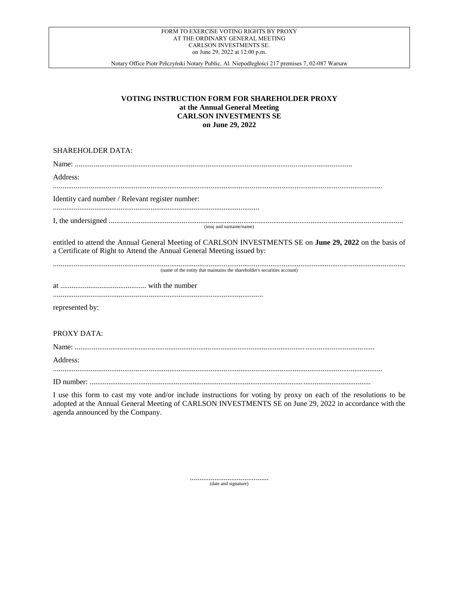Notary Office Piotr Pełczyński Notary Public, Al. Niepodległości 217 premises 7, 02-087 Warsaw

# **VOTING INSTRUCTION FORM FOR SHAREHOLDER PROXY at the Annual General Meeting CARLSON INVESTMENTS SE on June 29, 2022**

### SHAREHOLDER DATA:

| Address:                                                                                                                                                                           |
|------------------------------------------------------------------------------------------------------------------------------------------------------------------------------------|
| Identity card number / Relevant register number:                                                                                                                                   |
|                                                                                                                                                                                    |
| entitled to attend the Annual General Meeting of CARLSON INVESTMENTS SE on June 29, 2022 on the basis of<br>a Certificate of Right to Attend the Annual General Meeting issued by: |
| (name of the entity that maintains the shareholder's securities account)                                                                                                           |
|                                                                                                                                                                                    |
| represented by:                                                                                                                                                                    |
| PROXY DATA:                                                                                                                                                                        |
|                                                                                                                                                                                    |
| Address:                                                                                                                                                                           |

ID number: ......................................................................................................................................................

I use this form to cast my vote and/or include instructions for voting by proxy on each of the resolutions to be adopted at the Annual General Meeting of CARLSON INVESTMENTS SE on June 29, 2022 in accordance with the agenda announced by the Company.

.......................................... (date and signature)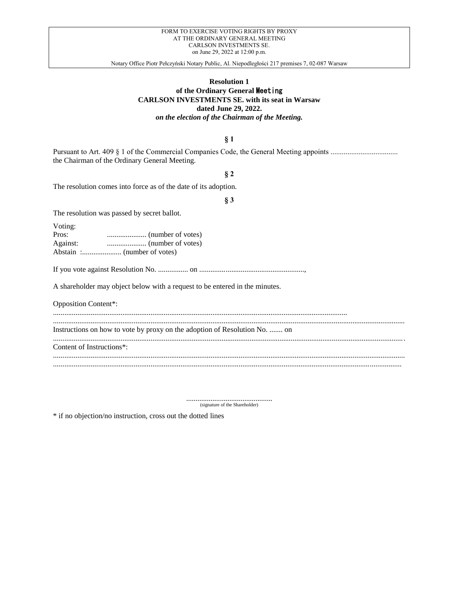Notary Office Piotr Pełczyński Notary Public, Al. Niepodległości 217 premises 7, 02-087 Warsaw

# **Resolution 1 of the Ordinary General** Meeting **CARLSON INVESTMENTS SE. with its seat in Warsaw dated June 29, 2022.**

*on the election of the Chairman of the Meeting.*

### **§ 1**

Pursuant to Art. 409 § 1 of the Commercial Companies Code, the General Meeting appoints .................................... the Chairman of the Ordinary General Meeting.

### **§ 2**

The resolution comes into force as of the date of its adoption.

### **§ 3**

The resolution was passed by secret ballot.

Voting:

| $\mathbf v$ oung. |  |
|-------------------|--|
| Pros:             |  |
| Against:          |  |
|                   |  |

If you vote against Resolution No. ................ on ........................................................,

A shareholder may object below with a request to be entered in the minutes.

Opposition Content\*:

.............................................................................................................................................................

Instructions on how to vote by proxy on the adoption of Resolution No. ....... on ............................................................................................................................................................................................ Content of Instructions\*:

............................................................................................................................................................................................

............................................................................................................................................................................................ ..........................................................................................................................................................................................

.............................................. (signature of the Shareholder)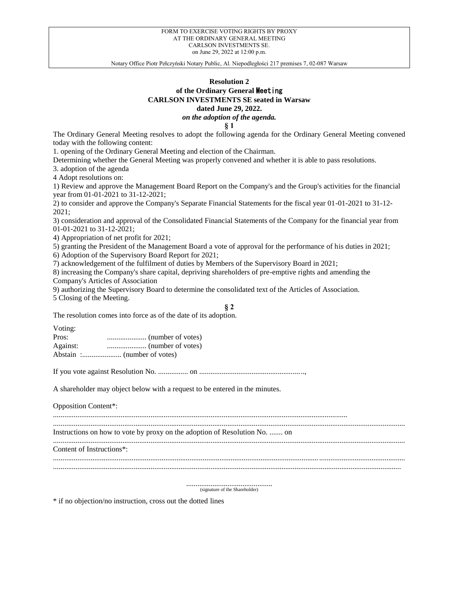# **Resolution 2 of the Ordinary General** Meeting **CARLSON INVESTMENTS SE seated in Warsaw dated June 29, 2022.** *on the adoption of the agenda.*

**§ 1**

The Ordinary General Meeting resolves to adopt the following agenda for the Ordinary General Meeting convened today with the following content:

1. opening of the Ordinary General Meeting and election of the Chairman.

Determining whether the General Meeting was properly convened and whether it is able to pass resolutions.

3. adoption of the agenda

4 Adopt resolutions on:

1) Review and approve the Management Board Report on the Company's and the Group's activities for the financial year from 01-01-2021 to 31-12-2021;

2) to consider and approve the Company's Separate Financial Statements for the fiscal year 01-01-2021 to 31-12- 2021;

3) consideration and approval of the Consolidated Financial Statements of the Company for the financial year from 01-01-2021 to 31-12-2021;

4) Appropriation of net profit for 2021;

5) granting the President of the Management Board a vote of approval for the performance of his duties in 2021;

6) Adoption of the Supervisory Board Report for 2021;

7) acknowledgement of the fulfilment of duties by Members of the Supervisory Board in 2021;

8) increasing the Company's share capital, depriving shareholders of pre-emptive rights and amending the Company's Articles of Association

9) authorizing the Supervisory Board to determine the consolidated text of the Articles of Association.

5 Closing of the Meeting.

### **§ 2**

The resolution comes into force as of the date of its adoption.

Voting:

| Pros:    |  |
|----------|--|
| Against: |  |
|          |  |

If you vote against Resolution No. ................ on ........................................................,

A shareholder may object below with a request to be entered in the minutes.

Opposition Content\*:

............................................................................................................................................................. ............................................................................................................................................................................................

Instructions on how to vote by proxy on the adoption of Resolution No. ....... on

............................................................................................................................................................................................ Content of Instructions\*:

............................................................................................................................................................................................

..........................................................................................................................................................................................

.............................................. (signature of the Shareholder)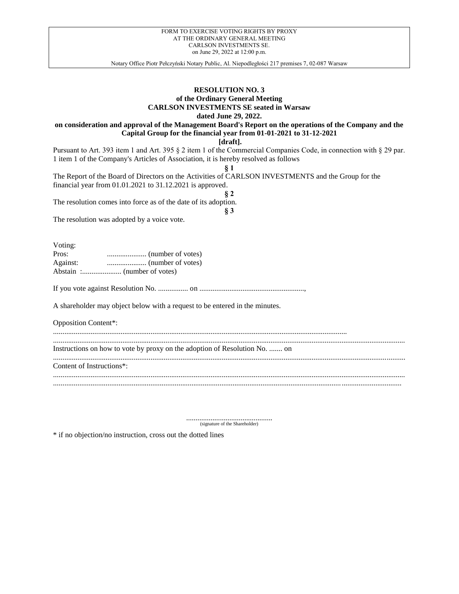# **RESOLUTION NO. 3 of the Ordinary General Meeting CARLSON INVESTMENTS SE seated in Warsaw**

**dated June 29, 2022.**

# **on consideration and approval of the Management Board's Report on the operations of the Company and the Capital Group for the financial year from 01-01-2021 to 31-12-2021**

**[draft].**

Pursuant to Art. 393 item 1 and Art. 395 § 2 item 1 of the Commercial Companies Code, in connection with § 29 par. 1 item 1 of the Company's Articles of Association, it is hereby resolved as follows

**§ 1** The Report of the Board of Directors on the Activities of CARLSON INVESTMENTS and the Group for the financial year from 01.01.2021 to 31.12.2021 is approved.

**§ 2** The resolution comes into force as of the date of its adoption.

**§ 3**

The resolution was adopted by a voice vote.

Voting:

| $\cdots$ |  |
|----------|--|
| Pros:    |  |
| Against: |  |
|          |  |

If you vote against Resolution No. ................ on ........................................................,

.............................................................................................................................................................

A shareholder may object below with a request to be entered in the minutes.

Opposition Content\*:

Instructions on how to vote by proxy on the adoption of Resolution No. ....... on

............................................................................................................................................................................................ Content of Instructions\*:

............................................................................................................................................................................................

..........................................................................................................................................................................................

.............................................. (signature of the Shareholder)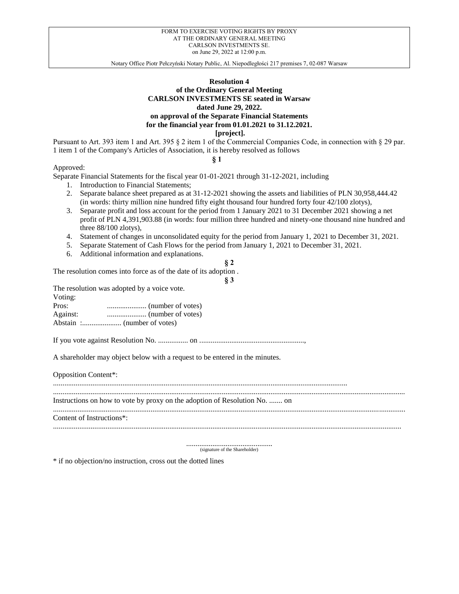# **Resolution 4 of the Ordinary General Meeting CARLSON INVESTMENTS SE seated in Warsaw dated June 29, 2022. on approval of the Separate Financial Statements for the financial year from 01.01.2021 to 31.12.2021. [project].**

Pursuant to Art. 393 item 1 and Art. 395 § 2 item 1 of the Commercial Companies Code, in connection with § 29 par. 1 item 1 of the Company's Articles of Association, it is hereby resolved as follows

**§ 1**

Approved:

Separate Financial Statements for the fiscal year 01-01-2021 through 31-12-2021, including

- 1. Introduction to Financial Statements;
- 2. Separate balance sheet prepared as at 31-12-2021 showing the assets and liabilities of PLN 30,958,444.42 (in words: thirty million nine hundred fifty eight thousand four hundred forty four 42/100 zlotys),
- 3. Separate profit and loss account for the period from 1 January 2021 to 31 December 2021 showing a net profit of PLN 4,391,903.88 (in words: four million three hundred and ninety-one thousand nine hundred and three 88/100 zlotys),
- 4. Statement of changes in unconsolidated equity for the period from January 1, 2021 to December 31, 2021.
- 5. Separate Statement of Cash Flows for the period from January 1, 2021 to December 31, 2021.
- 6. Additional information and explanations.

### **§ 2**

**§ 3**

The resolution comes into force as of the date of its adoption .

The resolution was adopted by a voice vote. Voting: Pros: ..................... (number of votes) Against: ..................... (number of votes) Abstain :..................... (number of votes)

If you vote against Resolution No. ................ on ........................................................,

A shareholder may object below with a request to be entered in the minutes.

Opposition Content\*:

............................................................................................................................................................. ............................................................................................................................................................................................ Instructions on how to vote by proxy on the adoption of Resolution No. ....... on ............................................................................................................................................................................................ Content of Instructions\*: ..........................................................................................................................................................................................

> .............................................. (signature of the Shareholder)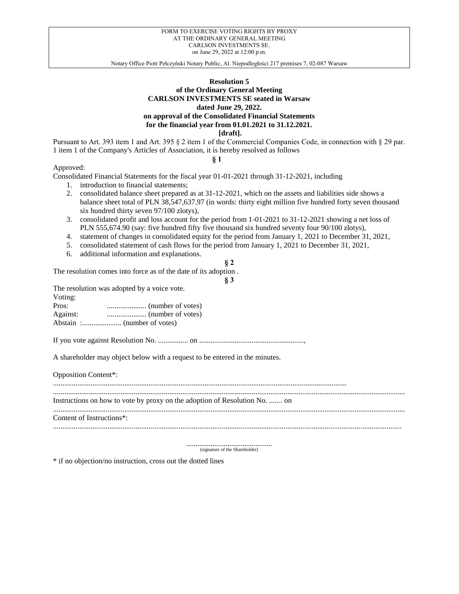# **Resolution 5 of the Ordinary General Meeting CARLSON INVESTMENTS SE seated in Warsaw dated June 29, 2022. on approval of the Consolidated Financial Statements for the financial year from 01.01.2021 to 31.12.2021. [draft].**

Pursuant to Art. 393 item 1 and Art. 395 § 2 item 1 of the Commercial Companies Code, in connection with § 29 par. 1 item 1 of the Company's Articles of Association, it is hereby resolved as follows

**§ 1**

Approved:

Consolidated Financial Statements for the fiscal year 01-01-2021 through 31-12-2021, including

- 1. introduction to financial statements;
- 2. consolidated balance sheet prepared as at 31-12-2021, which on the assets and liabilities side shows a balance sheet total of PLN 38,547,637.97 (in words: thirty eight million five hundred forty seven thousand six hundred thirty seven 97/100 zlotys),
- 3. consolidated profit and loss account for the period from 1-01-2021 to 31-12-2021 showing a net loss of PLN 555,674.90 (say: five hundred fifty five thousand six hundred seventy four 90/100 zlotys),
- 4. statement of changes in consolidated equity for the period from January 1, 2021 to December 31, 2021,
- 5. consolidated statement of cash flows for the period from January 1, 2021 to December 31, 2021,
- 6. additional information and explanations.

### **§ 2**

**§ 3**

The resolution comes into force as of the date of its adoption .

The resolution was adopted by a voice vote. Voting: Pros: ..................... (number of votes) Against: ..................... (number of votes) Abstain :..................... (number of votes)

If you vote against Resolution No. ................ on ........................................................,

A shareholder may object below with a request to be entered in the minutes.

Opposition Content\*:

............................................................................................................................................................. ............................................................................................................................................................................................ Instructions on how to vote by proxy on the adoption of Resolution No. ....... on ............................................................................................................................................................................................ Content of Instructions\*: ..........................................................................................................................................................................................

.............................................. (signature of the Shareholder)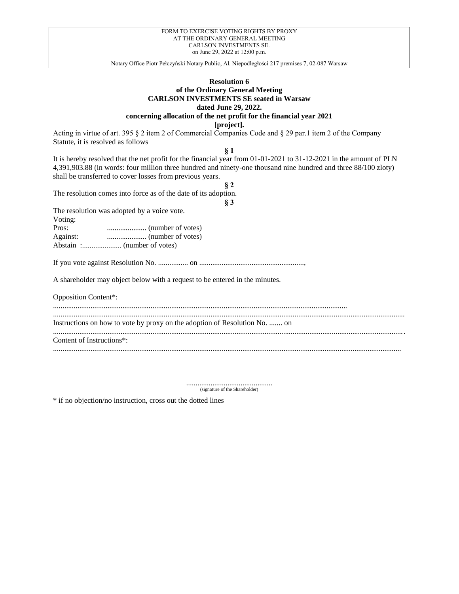Notary Office Piotr Pełczyński Notary Public, Al. Niepodległości 217 premises 7, 02-087 Warsaw

# **Resolution 6 of the Ordinary General Meeting CARLSON INVESTMENTS SE seated in Warsaw dated June 29, 2022. concerning allocation of the net profit for the financial year 2021**

**[project].**

Acting in virtue of art. 395 § 2 item 2 of Commercial Companies Code and § 29 par.1 item 2 of the Company Statute, it is resolved as follows

**§ 1**

It is hereby resolved that the net profit for the financial year from 01-01-2021 to 31-12-2021 in the amount of PLN 4,391,903.88 (in words: four million three hundred and ninety-one thousand nine hundred and three 88/100 zloty) shall be transferred to cover losses from previous years.

| 82                                                                          |
|-----------------------------------------------------------------------------|
| The resolution comes into force as of the date of its adoption.             |
| § 3                                                                         |
| The resolution was adopted by a voice vote.                                 |
| Voting:                                                                     |
|                                                                             |
|                                                                             |
|                                                                             |
|                                                                             |
|                                                                             |
|                                                                             |
| A shareholder may object below with a request to be entered in the minutes. |
|                                                                             |
| <b>Opposition Content*:</b>                                                 |
|                                                                             |
|                                                                             |
| Instructions on how to vote by proxy on the adoption of Resolution No.  on  |
|                                                                             |
| Content of Instructions <sup>*</sup> :                                      |
|                                                                             |

.............................................. (signature of the Shareholder)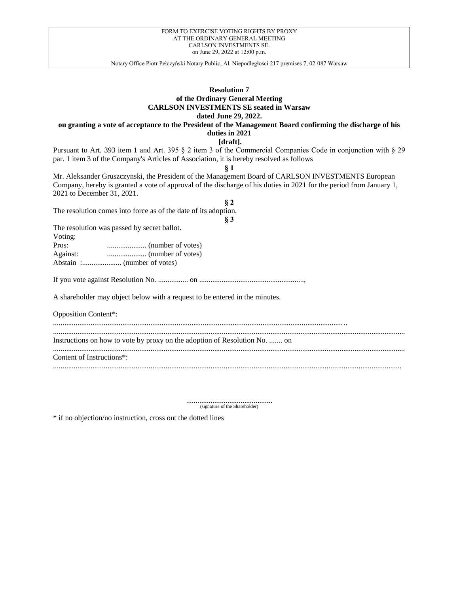Notary Office Piotr Pełczyński Notary Public, Al. Niepodległości 217 premises 7, 02-087 Warsaw

# **Resolution 7 of the Ordinary General Meeting CARLSON INVESTMENTS SE seated in Warsaw dated June 29, 2022.**

# **on granting a vote of acceptance to the President of the Management Board confirming the discharge of his duties in 2021**

**[draft].**

Pursuant to Art. 393 item 1 and Art. 395 § 2 item 3 of the Commercial Companies Code in conjunction with § 29 par. 1 item 3 of the Company's Articles of Association, it is hereby resolved as follows

**§ 1**

Mr. Aleksander Gruszczynski, the President of the Management Board of CARLSON INVESTMENTS European Company, hereby is granted a vote of approval of the discharge of his duties in 2021 for the period from January 1, 2021 to December 31, 2021.

| $\S 2$                                                                      |
|-----------------------------------------------------------------------------|
| The resolution comes into force as of the date of its adoption.             |
| § 3                                                                         |
| The resolution was passed by secret ballot.                                 |
| Voting:                                                                     |
|                                                                             |
|                                                                             |
|                                                                             |
|                                                                             |
| A shareholder may object below with a request to be entered in the minutes. |
| <b>Opposition Content*:</b>                                                 |
| Instructions on how to vote by proxy on the adoption of Resolution No.  on  |
|                                                                             |
| Content of Instructions <sup>*</sup> :                                      |
|                                                                             |

.............................................. (signature of the Shareholder)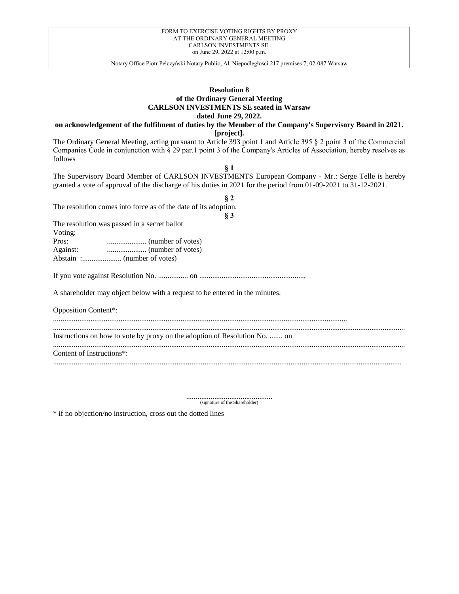Notary Office Piotr Pełczyński Notary Public, Al. Niepodległości 217 premises 7, 02-087 Warsaw

### **Resolution 8 of the Ordinary General Meeting CARLSON INVESTMENTS SE seated in Warsaw dated June 29, 2022.**

**on acknowledgement of the fulfilment of duties by the Member of the Company's Supervisory Board in 2021. [project].**

The Ordinary General Meeting, acting pursuant to Article 393 point 1 and Article 395 § 2 point 3 of the Commercial Companies Code in conjunction with § 29 par.1 point 3 of the Company's Articles of Association, hereby resolves as follows

**§ 1** The Supervisory Board Member of CARLSON INVESTMENTS European Company - Mr.: Serge Telle is hereby granted a vote of approval of the discharge of his duties in 2021 for the period from 01-09-2021 to 31-12-2021.

| 82                                                                          |
|-----------------------------------------------------------------------------|
| The resolution comes into force as of the date of its adoption.             |
| $\S 3$                                                                      |
| The resolution was passed in a secret ballot                                |
| Voting:                                                                     |
|                                                                             |
|                                                                             |
|                                                                             |
|                                                                             |
| A shareholder may object below with a request to be entered in the minutes. |
| <b>Opposition Content*:</b>                                                 |
|                                                                             |
| Instructions on how to vote by proxy on the adoption of Resolution No.  on  |
| Content of Instructions*:                                                   |
|                                                                             |

.............................................. (signature of the Shareholder)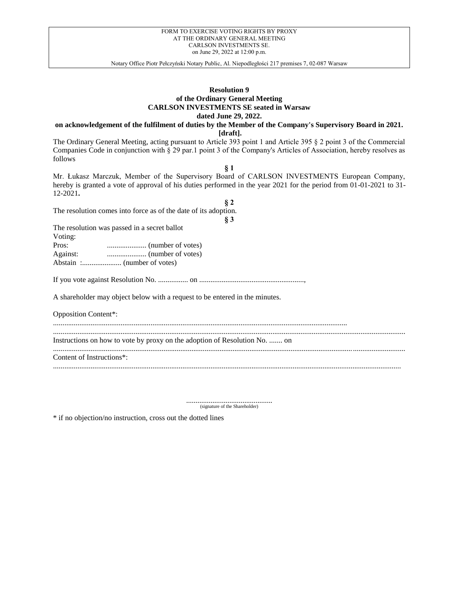| FORM TO EXERCISE VOTING RIGHTS BY PROXY |
|-----------------------------------------|
| AT THE ORDINARY GENERAL MEETING         |
| CARLSON INVESTMENTS SE                  |
| on June 29, 2022 at 12:00 p.m.          |

### **Resolution 9 of the Ordinary General Meeting CARLSON INVESTMENTS SE seated in Warsaw dated June 29, 2022.**

**on acknowledgement of the fulfilment of duties by the Member of the Company's Supervisory Board in 2021. [draft].**

The Ordinary General Meeting, acting pursuant to Article 393 point 1 and Article 395 § 2 point 3 of the Commercial Companies Code in conjunction with § 29 par.1 point 3 of the Company's Articles of Association, hereby resolves as follows

**§ 1** Mr. Łukasz Marczuk, Member of the Supervisory Board of CARLSON INVESTMENTS European Company, hereby is granted a vote of approval of his duties performed in the year 2021 for the period from 01-01-2021 to 31- 12-2021**.**

| $\S 2$                                                                      |
|-----------------------------------------------------------------------------|
| The resolution comes into force as of the date of its adoption.             |
| § 3                                                                         |
| The resolution was passed in a secret ballot                                |
| Voting:                                                                     |
|                                                                             |
|                                                                             |
|                                                                             |
| A shareholder may object below with a request to be entered in the minutes. |
| <b>Opposition Content*:</b>                                                 |
| Instructions on how to vote by proxy on the adoption of Resolution No.  on  |
| Content of Instructions <sup>*</sup> :                                      |
|                                                                             |

.............................................. (signature of the Shareholder)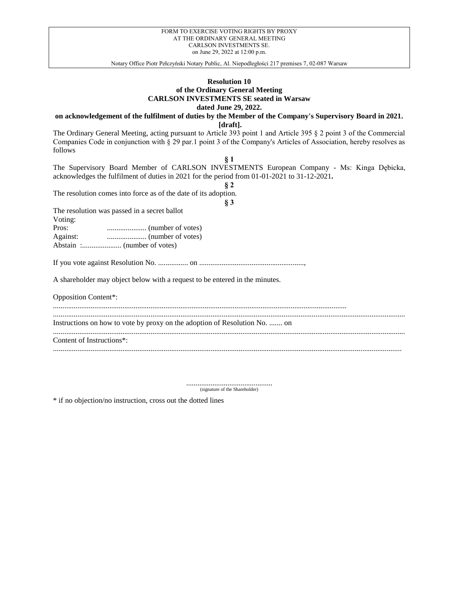Notary Office Piotr Pełczyński Notary Public, Al. Niepodległości 217 premises 7, 02-087 Warsaw

# **Resolution 10 of the Ordinary General Meeting CARLSON INVESTMENTS SE seated in Warsaw dated June 29, 2022.**

**on acknowledgement of the fulfilment of duties by the Member of the Company's Supervisory Board in 2021.**

**[draft].**

The Ordinary General Meeting, acting pursuant to Article 393 point 1 and Article 395 § 2 point 3 of the Commercial Companies Code in conjunction with § 29 par.1 point 3 of the Company's Articles of Association, hereby resolves as follows

| § 1                                                                                         |
|---------------------------------------------------------------------------------------------|
| The Supervisory Board Member of CARLSON INVESTMENTS European Company - Ms: Kinga Dębicka,   |
| acknowledges the fulfilment of duties in 2021 for the period from 01-01-2021 to 31-12-2021. |
| $\S 2$                                                                                      |
| The resolution comes into force as of the date of its adoption.                             |
| $\S 3$                                                                                      |
|                                                                                             |
| The resolution was passed in a secret ballot                                                |
| Voting:                                                                                     |
|                                                                                             |
|                                                                                             |
|                                                                                             |
|                                                                                             |
|                                                                                             |
|                                                                                             |
| A shareholder may object below with a request to be entered in the minutes.                 |
|                                                                                             |
|                                                                                             |
| <b>Opposition Content*:</b>                                                                 |
|                                                                                             |
|                                                                                             |
| Instructions on how to vote by proxy on the adoption of Resolution No.  on                  |
|                                                                                             |
| Content of Instructions <sup>*</sup> :                                                      |
|                                                                                             |
|                                                                                             |

.............................................. (signature of the Shareholder)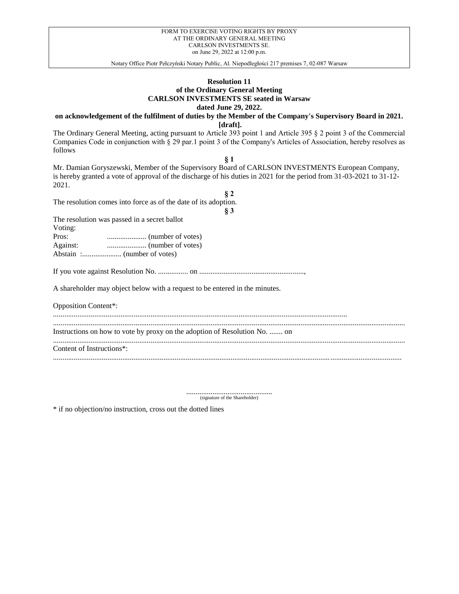# **Resolution 11 of the Ordinary General Meeting CARLSON INVESTMENTS SE seated in Warsaw dated June 29, 2022.**

**on acknowledgement of the fulfilment of duties by the Member of the Company's Supervisory Board in 2021.**

**[draft].**

The Ordinary General Meeting, acting pursuant to Article 393 point 1 and Article 395 § 2 point 3 of the Commercial Companies Code in conjunction with § 29 par.1 point 3 of the Company's Articles of Association, hereby resolves as follows

**§ 1**

Mr. Damian Goryszewski, Member of the Supervisory Board of CARLSON INVESTMENTS European Company, is hereby granted a vote of approval of the discharge of his duties in 2021 for the period from 31-03-2021 to 31-12- 2021.

The resolution comes into force as of the date of its adoption.

| ۰.<br>$\overline{\phantom{a}}$ |
|--------------------------------|

**§ 2**

The resolution was passed in a secret ballot

Voting:

Pros: ..................... (number of votes) Against: ..................... (number of votes) Abstain :..................... (number of votes)

If you vote against Resolution No. ................ on ........................................................,

A shareholder may object below with a request to be entered in the minutes.

Opposition Content\*:

.............................................................................................................................................................

Instructions on how to vote by proxy on the adoption of Resolution No. ....... on

............................................................................................................................................................................................ Content of Instructions\*:

..........................................................................................................................................................................................

............................................................................................................................................................................................

.............................................. (signature of the Shareholder)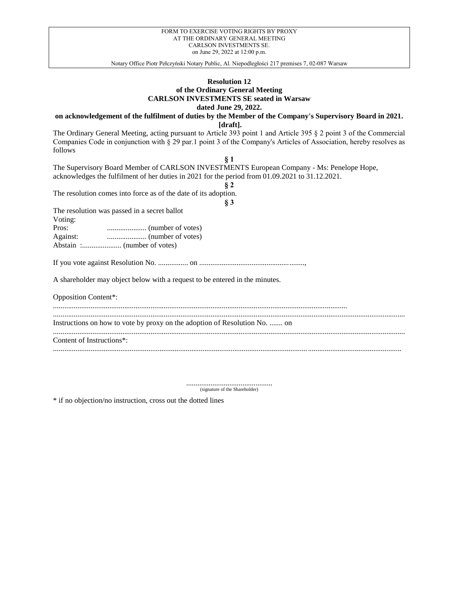Notary Office Piotr Pełczyński Notary Public, Al. Niepodległości 217 premises 7, 02-087 Warsaw

# **Resolution 12 of the Ordinary General Meeting CARLSON INVESTMENTS SE seated in Warsaw dated June 29, 2022.**

**on acknowledgement of the fulfilment of duties by the Member of the Company's Supervisory Board in 2021.**

**[draft].**

The Ordinary General Meeting, acting pursuant to Article 393 point 1 and Article 395 § 2 point 3 of the Commercial Companies Code in conjunction with § 29 par.1 point 3 of the Company's Articles of Association, hereby resolves as follows

| 81                                                                                              |
|-------------------------------------------------------------------------------------------------|
| The Supervisory Board Member of CARLSON INVESTMENTS European Company - Ms: Penelope Hope,       |
| acknowledges the fulfilment of her duties in 2021 for the period from 01.09.2021 to 31.12.2021. |
| § 2                                                                                             |
| The resolution comes into force as of the date of its adoption.                                 |
| § 3                                                                                             |
| The resolution was passed in a secret ballot                                                    |
| Voting:                                                                                         |
| Pros:                                                                                           |
|                                                                                                 |
|                                                                                                 |
|                                                                                                 |
| A shareholder may object below with a request to be entered in the minutes.                     |
| <b>Opposition Content*:</b>                                                                     |
|                                                                                                 |
| Instructions on how to vote by proxy on the adoption of Resolution No.  on                      |
| Content of Instructions*:                                                                       |
|                                                                                                 |

.............................................. (signature of the Shareholder)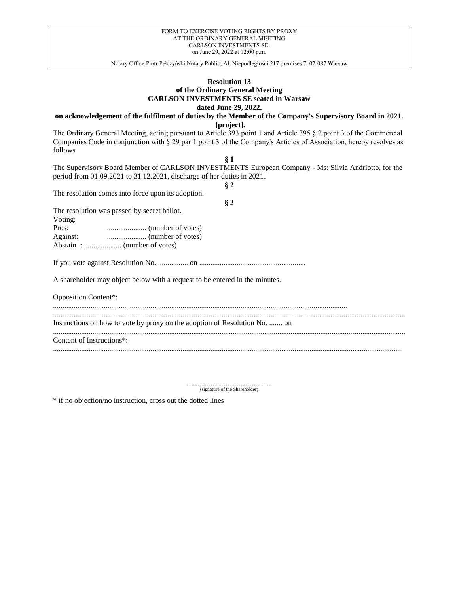Notary Office Piotr Pełczyński Notary Public, Al. Niepodległości 217 premises 7, 02-087 Warsaw

# **Resolution 13 of the Ordinary General Meeting CARLSON INVESTMENTS SE seated in Warsaw dated June 29, 2022.**

**on acknowledgement of the fulfilment of duties by the Member of the Company's Supervisory Board in 2021. [project].**

The Ordinary General Meeting, acting pursuant to Article 393 point 1 and Article 395 § 2 point 3 of the Commercial Companies Code in conjunction with § 29 par.1 point 3 of the Company's Articles of Association, hereby resolves as follows

| § 1                                                                                                                                                                            |
|--------------------------------------------------------------------------------------------------------------------------------------------------------------------------------|
| The Supervisory Board Member of CARLSON INVESTMENTS European Company - Ms: Silvia Andriotto, for the<br>period from 01.09.2021 to 31.12.2021, discharge of her duties in 2021. |
| $\S 2$                                                                                                                                                                         |
| The resolution comes into force upon its adoption.                                                                                                                             |
| § 3                                                                                                                                                                            |
| The resolution was passed by secret ballot.                                                                                                                                    |
| Voting:                                                                                                                                                                        |
| $\ldots$ (number of votes)<br>Pros:                                                                                                                                            |
|                                                                                                                                                                                |
|                                                                                                                                                                                |
|                                                                                                                                                                                |
| A shareholder may object below with a request to be entered in the minutes.                                                                                                    |
| <b>Opposition Content*:</b>                                                                                                                                                    |
|                                                                                                                                                                                |
| Instructions on how to vote by proxy on the adoption of Resolution No.  on                                                                                                     |
| Content of Instructions*:                                                                                                                                                      |

.............................................. (signature of the Shareholder)

..........................................................................................................................................................................................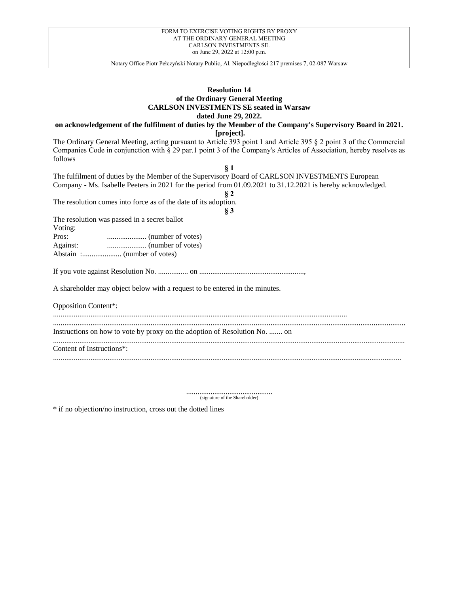| FORM TO EXERCISE VOTING RIGHTS BY PROXY |
|-----------------------------------------|
| AT THE ORDINARY GENERAL MEETING         |
| <b>CARLSON INVESTMENTS SE.</b>          |
| on June 29, 2022 at 12:00 p.m.          |

# **Resolution 14 of the Ordinary General Meeting CARLSON INVESTMENTS SE seated in Warsaw dated June 29, 2022.**

**on acknowledgement of the fulfilment of duties by the Member of the Company's Supervisory Board in 2021.**

**[project].**

The Ordinary General Meeting, acting pursuant to Article 393 point 1 and Article 395 § 2 point 3 of the Commercial Companies Code in conjunction with § 29 par.1 point 3 of the Company's Articles of Association, hereby resolves as follows **§ 1**

| The fulfilment of duties by the Member of the Supervisory Board of CARLSON INVESTMENTS European             |
|-------------------------------------------------------------------------------------------------------------|
| Company - Ms. Isabelle Peeters in 2021 for the period from 01.09.2021 to 31.12.2021 is hereby acknowledged. |
| $\S 2$                                                                                                      |
| The resolution comes into force as of the date of its adoption.                                             |
|                                                                                                             |
| $\S 3$                                                                                                      |
| The resolution was passed in a secret ballot                                                                |
| Voting:                                                                                                     |
|                                                                                                             |
|                                                                                                             |
|                                                                                                             |
|                                                                                                             |
|                                                                                                             |
| A shareholder may object below with a request to be entered in the minutes.                                 |
| <b>Opposition Content*:</b>                                                                                 |
| Instructions on how to vote by proxy on the adoption of Resolution No.  on                                  |
|                                                                                                             |
| Content of Instructions <sup>*</sup> :                                                                      |
|                                                                                                             |

.............................................. (signature of the Shareholder)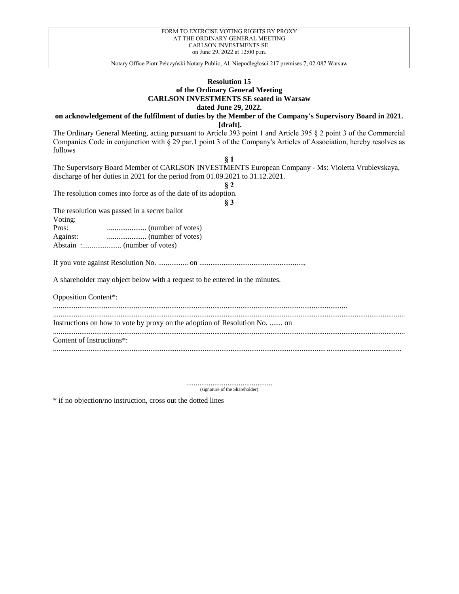Notary Office Piotr Pełczyński Notary Public, Al. Niepodległości 217 premises 7, 02-087 Warsaw

# **Resolution 15 of the Ordinary General Meeting CARLSON INVESTMENTS SE seated in Warsaw dated June 29, 2022.**

**on acknowledgement of the fulfilment of duties by the Member of the Company's Supervisory Board in 2021.**

**[draft].**

The Ordinary General Meeting, acting pursuant to Article 393 point 1 and Article 395 § 2 point 3 of the Commercial Companies Code in conjunction with § 29 par.1 point 3 of the Company's Articles of Association, hereby resolves as follows

| The Supervisory Board Member of CARLSON INVESTMENTS European Company - Ms: Violetta Vrublevskaya, |
|---------------------------------------------------------------------------------------------------|
| discharge of her duties in 2021 for the period from $01.09.2021$ to $31.12.2021$ .                |
|                                                                                                   |
| The resolution comes into force as of the date of its adoption.                                   |
|                                                                                                   |
| $\sim$                                                                                            |

The resolution was passed in a secret ballot  $V_{\alpha t}$ :

| VOUNG:   |  |
|----------|--|
| Pros:    |  |
| Against: |  |
|          |  |

If you vote against Resolution No. ................ on ........................................................,

A shareholder may object below with a request to be entered in the minutes.

Opposition Content\*:

............................................................................................................................................................. ............................................................................................................................................................................................ Instructions on how to vote by proxy on the adoption of Resolution No. ....... on

............................................................................................................................................................................................

Content of Instructions\*:

.............................................. (signature of the Shareholder)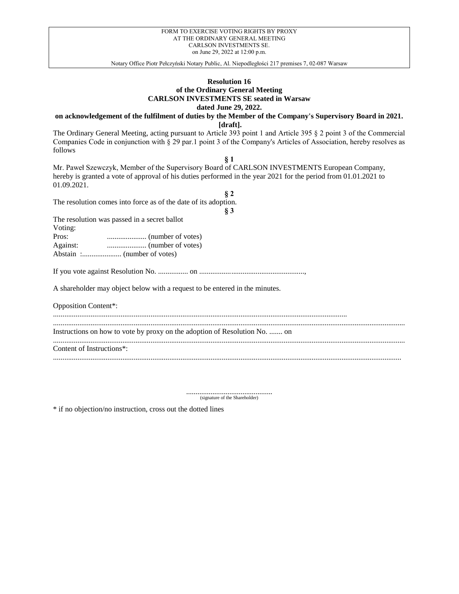Notary Office Piotr Pełczyński Notary Public, Al. Niepodległości 217 premises 7, 02-087 Warsaw

# **Resolution 16 of the Ordinary General Meeting CARLSON INVESTMENTS SE seated in Warsaw dated June 29, 2022.**

**on acknowledgement of the fulfilment of duties by the Member of the Company's Supervisory Board in 2021.**

**[draft].**

The Ordinary General Meeting, acting pursuant to Article 393 point 1 and Article 395 § 2 point 3 of the Commercial Companies Code in conjunction with § 29 par.1 point 3 of the Company's Articles of Association, hereby resolves as follows

**§ 1**

Mr. Paweł Szewczyk, Member of the Supervisory Board of CARLSON INVESTMENTS European Company, hereby is granted a vote of approval of his duties performed in the year 2021 for the period from 01.01.2021 to 01.09.2021.

The resolution comes into force as of the date of its adoption.

| I<br>۰.<br>$\overline{\phantom{a}}$ |
|-------------------------------------|

**§ 2**

The resolution was passed in a secret ballot

Voting:

Pros: ..................... (number of votes) Against: ..................... (number of votes) Abstain :..................... (number of votes)

If you vote against Resolution No. ................ on ........................................................,

A shareholder may object below with a request to be entered in the minutes.

Opposition Content\*:

.............................................................................................................................................................

Instructions on how to vote by proxy on the adoption of Resolution No. ....... on

............................................................................................................................................................................................ Content of Instructions\*:

..........................................................................................................................................................................................

............................................................................................................................................................................................

.............................................. (signature of the Shareholder)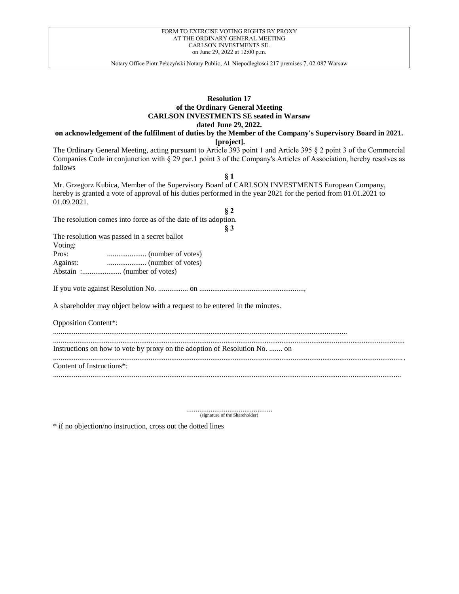### **Resolution 17 of the Ordinary General Meeting CARLSON INVESTMENTS SE seated in Warsaw dated June 29, 2022.**

**on acknowledgement of the fulfilment of duties by the Member of the Company's Supervisory Board in 2021.**

**[project].**

The Ordinary General Meeting, acting pursuant to Article 393 point 1 and Article 395 § 2 point 3 of the Commercial Companies Code in conjunction with § 29 par.1 point 3 of the Company's Articles of Association, hereby resolves as follows

**§ 1** Mr. Grzegorz Kubica, Member of the Supervisory Board of CARLSON INVESTMENTS European Company, hereby is granted a vote of approval of his duties performed in the year 2021 for the period from 01.01.2021 to 01.09.2021.

**§ 2** The resolution comes into force as of the date of its adoption.

**§ 3**

The resolution was passed in a secret ballot

| Voting: |  |
|---------|--|
|---------|--|

| Pros:    |  |
|----------|--|
| Against: |  |
|          |  |

If you vote against Resolution No. ................ on ........................................................,

A shareholder may object below with a request to be entered in the minutes.

Opposition Content\*:

............................................................................................................................................................................................ Instructions on how to vote by proxy on the adoption of Resolution No. ....... on

.............................................................................................................................................................

............................................................................................................................................................................................ Content of Instructions\*:

.............................................. (signature of the Shareholder)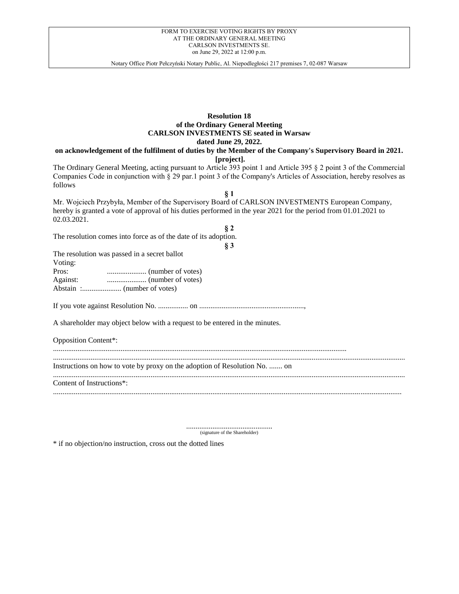Notary Office Piotr Pełczyński Notary Public, Al. Niepodległości 217 premises 7, 02-087 Warsaw

# **Resolution 18 of the Ordinary General Meeting CARLSON INVESTMENTS SE seated in Warsaw dated June 29, 2022.**

**on acknowledgement of the fulfilment of duties by the Member of the Company's Supervisory Board in 2021. [project].**

The Ordinary General Meeting, acting pursuant to Article 393 point 1 and Article 395 § 2 point 3 of the Commercial Companies Code in conjunction with § 29 par.1 point 3 of the Company's Articles of Association, hereby resolves as follows

**§ 1** Mr. Wojciech Przybyła, Member of the Supervisory Board of CARLSON INVESTMENTS European Company, hereby is granted a vote of approval of his duties performed in the year 2021 for the period from 01.01.2021 to 02.03.2021.

**§ 2** The resolution comes into force as of the date of its adoption.

**§ 3**

The resolution was passed in a secret ballot Voting: Pros: ..................... (number of votes) Against: ..................... (number of votes)

Abstain :..................... (number of votes)

If you vote against Resolution No. ................ on ........................................................,

A shareholder may object below with a request to be entered in the minutes.

Opposition Content\*:

............................................................................................................................................................................................ Instructions on how to vote by proxy on the adoption of Resolution No. ....... on

............................................................................................................................................................................................

..........................................................................................................................................................................................

Content of Instructions\*:

.............................................. (signature of the Shareholder)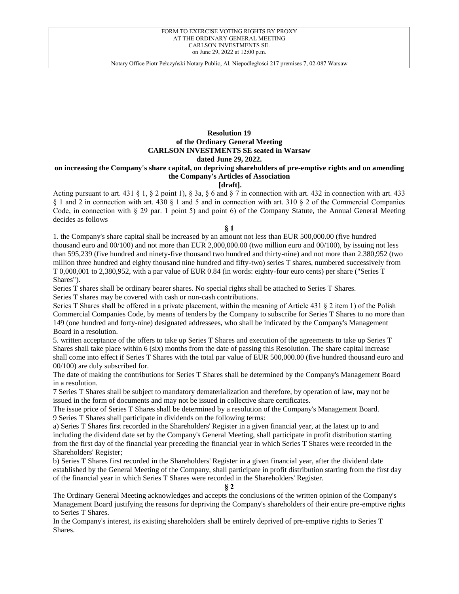Notary Office Piotr Pełczyński Notary Public, Al. Niepodległości 217 premises 7, 02-087 Warsaw

### **Resolution 19 of the Ordinary General Meeting CARLSON INVESTMENTS SE seated in Warsaw dated June 29, 2022.**

# **on increasing the Company's share capital, on depriving shareholders of pre-emptive rights and on amending the Company's Articles of Association**

# **[draft].**

Acting pursuant to art. 431 § 1, § 2 point 1), § 3a, § 6 and § 7 in connection with art. 432 in connection with art. 433 § 1 and 2 in connection with art. 430 § 1 and 5 and in connection with art. 310 § 2 of the Commercial Companies Code, in connection with § 29 par. 1 point 5) and point 6) of the Company Statute, the Annual General Meeting decides as follows

### **§ 1**

1. the Company's share capital shall be increased by an amount not less than EUR 500,000.00 (five hundred thousand euro and 00/100) and not more than EUR 2,000,000.00 (two million euro and 00/100), by issuing not less than 595,239 (five hundred and ninety-five thousand two hundred and thirty-nine) and not more than 2.380,952 (two million three hundred and eighty thousand nine hundred and fifty-two) series T shares, numbered successively from T 0,000,001 to 2,380,952, with a par value of EUR 0.84 (in words: eighty-four euro cents) per share ("Series T Shares").

Series T shares shall be ordinary bearer shares. No special rights shall be attached to Series T Shares.

Series T shares may be covered with cash or non-cash contributions.

Series T Shares shall be offered in a private placement, within the meaning of Article 431 § 2 item 1) of the Polish Commercial Companies Code, by means of tenders by the Company to subscribe for Series T Shares to no more than 149 (one hundred and forty-nine) designated addressees, who shall be indicated by the Company's Management Board in a resolution.

5. written acceptance of the offers to take up Series T Shares and execution of the agreements to take up Series T Shares shall take place within 6 (six) months from the date of passing this Resolution. The share capital increase shall come into effect if Series T Shares with the total par value of EUR 500,000.00 (five hundred thousand euro and 00/100) are duly subscribed for.

The date of making the contributions for Series T Shares shall be determined by the Company's Management Board in a resolution.

7 Series T Shares shall be subject to mandatory dematerialization and therefore, by operation of law, may not be issued in the form of documents and may not be issued in collective share certificates.

The issue price of Series T Shares shall be determined by a resolution of the Company's Management Board. 9 Series T Shares shall participate in dividends on the following terms:

a) Series T Shares first recorded in the Shareholders' Register in a given financial year, at the latest up to and including the dividend date set by the Company's General Meeting, shall participate in profit distribution starting from the first day of the financial year preceding the financial year in which Series T Shares were recorded in the Shareholders' Register;

b) Series T Shares first recorded in the Shareholders' Register in a given financial year, after the dividend date established by the General Meeting of the Company, shall participate in profit distribution starting from the first day of the financial year in which Series T Shares were recorded in the Shareholders' Register.

**§ 2**

The Ordinary General Meeting acknowledges and accepts the conclusions of the written opinion of the Company's Management Board justifying the reasons for depriving the Company's shareholders of their entire pre-emptive rights to Series T Shares.

In the Company's interest, its existing shareholders shall be entirely deprived of pre-emptive rights to Series T Shares.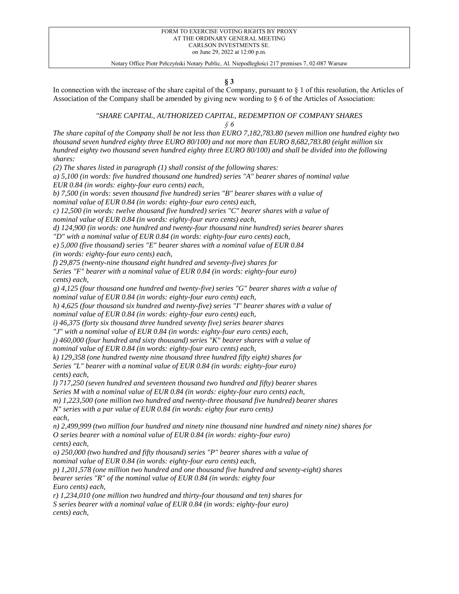**§ 3**

In connection with the increase of the share capital of the Company, pursuant to § 1 of this resolution, the Articles of Association of the Company shall be amended by giving new wording to § 6 of the Articles of Association:

### *"SHARE CAPITAL, AUTHORIZED CAPITAL, REDEMPTION OF COMPANY SHARES § 6*

*The share capital of the Company shall be not less than EURO 7,182,783.80 (seven million one hundred eighty two thousand seven hundred eighty three EURO 80/100) and not more than EURO 8,682,783.80 (eight million six hundred eighty two thousand seven hundred eighty three EURO 80/100) and shall be divided into the following shares:*

*(2) The shares listed in paragraph (1) shall consist of the following shares:*

*a) 5,100 (in words: five hundred thousand one hundred) series "A" bearer shares of nominal value EUR 0.84 (in words: eighty-four euro cents) each,*

*b) 7,500 (in words: seven thousand five hundred) series "B" bearer shares with a value of nominal value of EUR 0.84 (in words: eighty-four euro cents) each,*

*c) 12,500 (in words: twelve thousand five hundred) series "C" bearer shares with a value of nominal value of EUR 0.84 (in words: eighty-four euro cents) each,*

*d) 124,900 (in words: one hundred and twenty-four thousand nine hundred) series bearer shares*

*"D" with a nominal value of EUR 0.84 (in words: eighty-four euro cents) each,*

*e) 5,000 (five thousand) series "E" bearer shares with a nominal value of EUR 0.84 (in words: eighty-four euro cents) each,*

*f) 29,875 (twenty-nine thousand eight hundred and seventy-five) shares for*

*Series "F" bearer with a nominal value of EUR 0.84 (in words: eighty-four euro) cents) each,*

*g) 4,125 (four thousand one hundred and twenty-five) series "G" bearer shares with a value of nominal value of EUR 0.84 (in words: eighty-four euro cents) each,*

*h) 4,625 (four thousand six hundred and twenty-five) series "I" bearer shares with a value of nominal value of EUR 0.84 (in words: eighty-four euro cents) each,*

*i) 46,375 (forty six thousand three hundred seventy five) series bearer shares*

*"J" with a nominal value of EUR 0.84 (in words: eighty-four euro cents) each,*

*j) 460,000 (four hundred and sixty thousand) series "K" bearer shares with a value of nominal value of EUR 0.84 (in words: eighty-four euro cents) each,*

*k) 129,358 (one hundred twenty nine thousand three hundred fifty eight) shares for Series "L" bearer with a nominal value of EUR 0.84 (in words: eighty-four euro) cents) each,*

*l) 717,250 (seven hundred and seventeen thousand two hundred and fifty) bearer shares*

*Series M with a nominal value of EUR 0.84 (in words: eighty-four euro cents) each,*

*m) 1,223,500 (one million two hundred and twenty-three thousand five hundred) bearer shares*

*N" series with a par value of EUR 0.84 (in words: eighty four euro cents) each,*

*n) 2,499,999 (two million four hundred and ninety nine thousand nine hundred and ninety nine) shares for O series bearer with a nominal value of EUR 0.84 (in words: eighty-four euro) cents) each,*

*o) 250,000 (two hundred and fifty thousand) series "P" bearer shares with a value of nominal value of EUR 0.84 (in words: eighty-four euro cents) each,*

*p) 1,201,578 (one million two hundred and one thousand five hundred and seventy-eight) shares bearer series "R" of the nominal value of EUR 0.84 (in words: eighty four Euro cents) each,*

*r) 1,234,010 (one million two hundred and thirty-four thousand and ten) shares for S series bearer with a nominal value of EUR 0.84 (in words: eighty-four euro) cents) each,*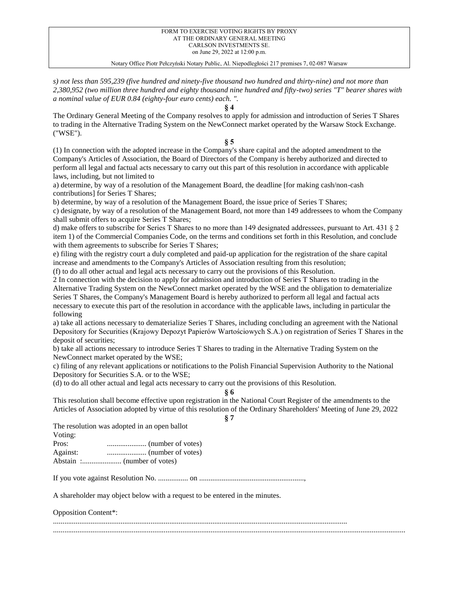Notary Office Piotr Pełczyński Notary Public, Al. Niepodległości 217 premises 7, 02-087 Warsaw

*s) not less than 595,239 (five hundred and ninety-five thousand two hundred and thirty-nine) and not more than 2,380,952 (two million three hundred and eighty thousand nine hundred and fifty-two) series "T" bearer shares with a nominal value of EUR 0.84 (eighty-four euro cents) each. ".*

**§ 4**

The Ordinary General Meeting of the Company resolves to apply for admission and introduction of Series T Shares to trading in the Alternative Trading System on the NewConnect market operated by the Warsaw Stock Exchange. ("WSE").

## **§ 5**

(1) In connection with the adopted increase in the Company's share capital and the adopted amendment to the Company's Articles of Association, the Board of Directors of the Company is hereby authorized and directed to perform all legal and factual acts necessary to carry out this part of this resolution in accordance with applicable laws, including, but not limited to

a) determine, by way of a resolution of the Management Board, the deadline [for making cash/non-cash contributions] for Series T Shares;

b) determine, by way of a resolution of the Management Board, the issue price of Series T Shares;

c) designate, by way of a resolution of the Management Board, not more than 149 addressees to whom the Company shall submit offers to acquire Series T Shares;

d) make offers to subscribe for Series T Shares to no more than 149 designated addressees, pursuant to Art. 431 § 2 item 1) of the Commercial Companies Code, on the terms and conditions set forth in this Resolution, and conclude with them agreements to subscribe for Series T Shares;

e) filing with the registry court a duly completed and paid-up application for the registration of the share capital increase and amendments to the Company's Articles of Association resulting from this resolution;

(f) to do all other actual and legal acts necessary to carry out the provisions of this Resolution.

2 In connection with the decision to apply for admission and introduction of Series T Shares to trading in the Alternative Trading System on the NewConnect market operated by the WSE and the obligation to dematerialize Series T Shares, the Company's Management Board is hereby authorized to perform all legal and factual acts necessary to execute this part of the resolution in accordance with the applicable laws, including in particular the following

a) take all actions necessary to dematerialize Series T Shares, including concluding an agreement with the National Depository for Securities (Krajowy Depozyt Papierów Wartościowych S.A.) on registration of Series T Shares in the deposit of securities;

b) take all actions necessary to introduce Series T Shares to trading in the Alternative Trading System on the NewConnect market operated by the WSE;

c) filing of any relevant applications or notifications to the Polish Financial Supervision Authority to the National Depository for Securities S.A. or to the WSE;

(d) to do all other actual and legal acts necessary to carry out the provisions of this Resolution.

**§ 6**

This resolution shall become effective upon registration in the National Court Register of the amendments to the Articles of Association adopted by virtue of this resolution of the Ordinary Shareholders' Meeting of June 29, 2022

**§ 7**

The resolution was adopted in an open ballot

Voting:

Pros: ..................... (number of votes) Against: ..................... (number of votes) Abstain :..................... (number of votes)

If you vote against Resolution No. ................ on ........................................................,

A shareholder may object below with a request to be entered in the minutes.

Opposition Content\*:

............................................................................................................................................................. ............................................................................................................................................................................................